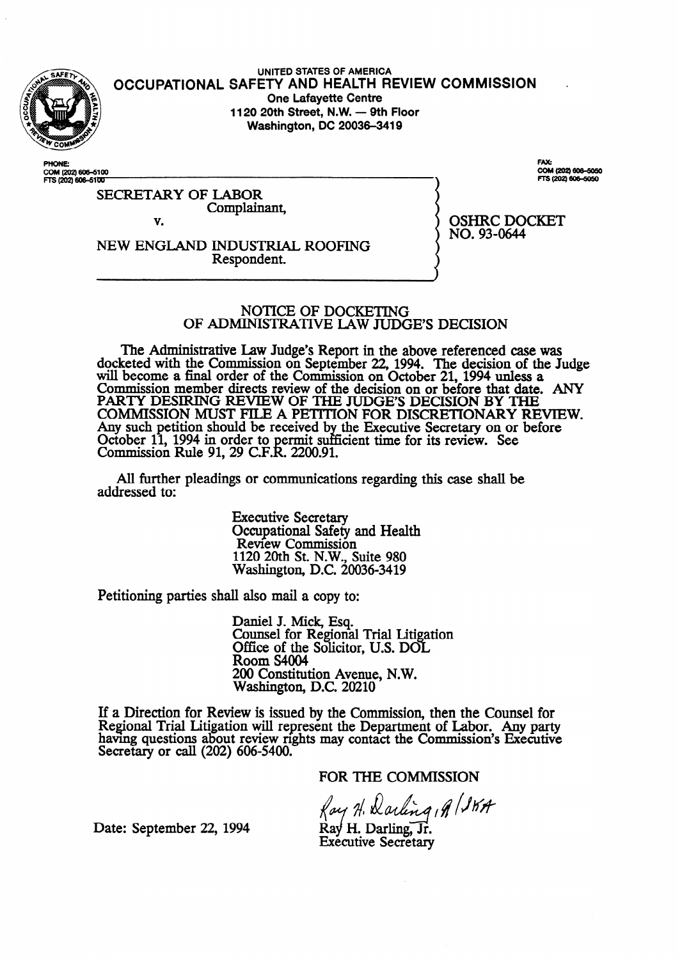

**UNITED STATES OF AMERICA OCCUPATIONAL SAFETY AND HEALTH REVIEW COMMISSION . One Lafayette Centre 1120 20th Street, N.W. - 9th Floor Washington, DC 20036-3419** 

PHONE COM (202) 606–610<br>FTS (202) 606–51<mark>0</mark>1 CAV. COM (202) 606-5050 FTS (202) 606-5050

OSHRC DOCKET

NO. 93-0644

SECRETARY OF LABOR Complainant,

v.

NEW ENGLAND INDUSTRIAL ROOFING Respondent.

**NOTICE** OF DOCKETING OF ADMINISTRATIVE LAW JUDGE'S DECISION

The Administrative Law Judge's Report in the above referenced case was docketed with the Commission on September 22, 1994. The decision **of** the Judge. will become **a** final order of the Commission on October 21,1994 unless a Commission member directs review of the decision on **or before that date. ANY**  PARTY DESIRING REVIEW OF THE JUDGES DECISION BY THE COMMISSION MUST FILE A PETITION FOR DISCRETIONARY REVIEW. Any such petition should be received b October 11, 1994 in order to permit suffi **the Executive** Secretary **on or before**  Commission Rule 91, 29 C.F.k 2200.91. cient time for its review. See

All further pleadings or communications regarding this case shall be addressed to:

> Executive Secretary Occupational Safety and Health Review Commission 1120 20th St. N.W., Suite 980 Washington, D.C. 20036-3419

Petitioning parties shall also mail a copy to:

Daniel J. Mick, Esq. Counsel for Regional Trial Litigation Office of the Solicitor, U.S. DOL Room S4004 200 Constitution Avenue, N.W. Washington, D.C. 20210

If a Direction for Review is issued by the Commission, then the Counsel for Regional Trial Litigation will represent the Department of Labor. Any party having questions about review rights may contact the Commission's Executive Secretary or call (202) 606-5400.

FOR THE COMMISSION

Ray H. Darling , A (SKA

Date: September 22, 1994

 $\operatorname{Ray}$  H. Darling,  $\operatorname{Jr}$ . **Executive Secretary**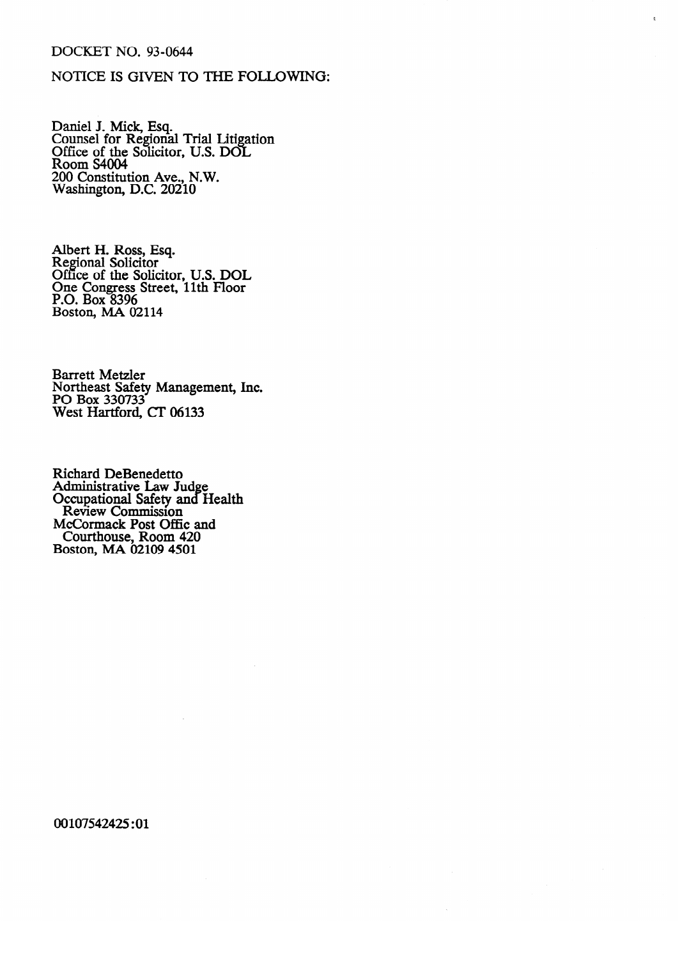### DOCKET NO. 93-0644

## NOTICE IS GIVEN TO THE FOLLOWING:

Daillel J. Mick, Esq.<br>Counsel for Regional Counsel for Regional Trial Litigation<br>Office of the Solicitor TTS DOI Office of the Solicitor, U.S. DOL.<br>Room S4004 ROOM STOOT<br>200 Constituti  $200$  Constitution Ave.,  $N$ .  $W$ . Washington, D.C. 20210

Regional Solicitor Office of the Solic One Congress Street, 11th Floor  $P.O. Box 8396$ Boston, MA 02 Boston, MA 02114

**Barrett Metzler** Northeast Safety<br>BO Ber 220722 PO B0x 330/33<br>West Hartford, CF 06122 West Hartford, CT 06133

**Richard DeBenedetto** Rummisualive Law<br>Occupational Safety a **Exaggindial Salety and**<br>Review Commission e **McCormack Post Offic an**  $\mathbf{H}$ Recommence Fost China<br>Courthouse, Room 4  $\overline{\text{Post}}$  MA 02109 4501  $\frac{1}{2000}$   $\frac{1}{2000}$ 

00107542425:01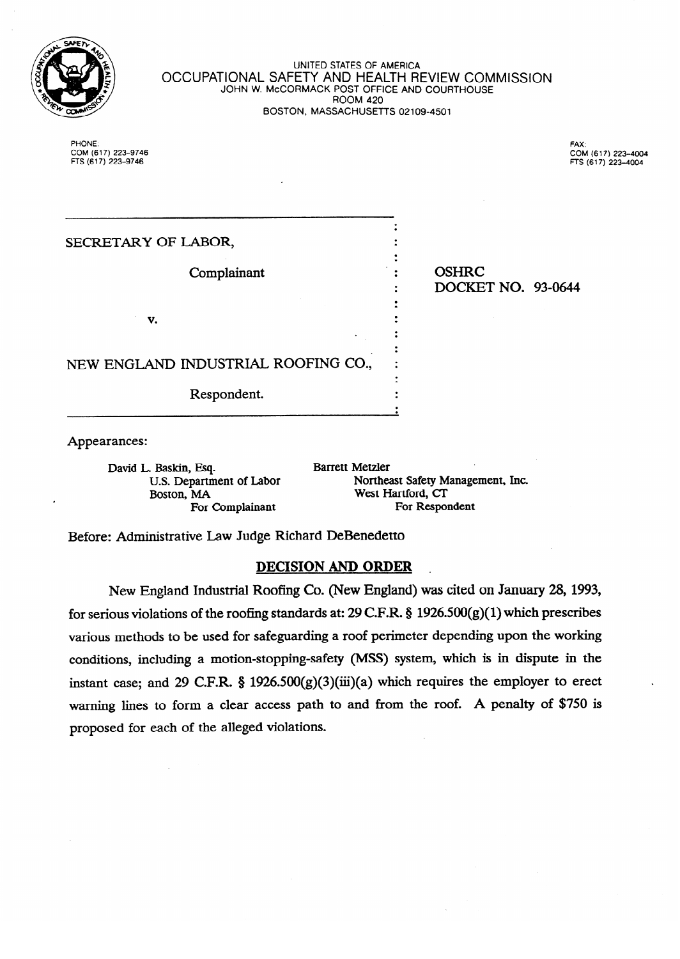

#### **UNITED STATES OF AMERICA**  OCCUPATIONAL SAFETY AND HEALTH REVIEW COMMISSION JOHN W. McCORMACK POST OFFICE AND COURTHOUSE ROOM **420**  BOSTON, MASSACHUSETTS 02109-4501

 $POMB$ COM **(617)223-9746**  FAX: COM (617) 223-4004 **COM (617) 223-4004** 

| SECRETARY OF LABOR,                 |                                    |
|-------------------------------------|------------------------------------|
| Complainant                         | <b>OSHRC</b><br>DOCKET NO. 93-0644 |
| v.                                  |                                    |
| NEW ENGLAND INDUSTRIAL ROOFING CO., |                                    |
| Respondent.                         |                                    |
| Appearances:                        |                                    |

David L. Baskin, Esq. Boston, Manuel Manuel Manuel Manuel Manuel Manuel Manuel Manuel Manuel Manuel Manuel Manuel Manuel Manuel Manuel Manuel Manuel Manuel Manuel Manuel Manuel Manuel Manuel Manuel Manuel Manuel Manuel Manuel Manuel Manuel Manu

**Barrett Metzler** U.S. Department of Labor Northeast Safety Management, Inc.<br>Boston, MA West Hartford, CT For Complainant **For Respondent** 

Before: Administrative Law Judge Richard DeBenedetto

# **DECISION AND ORDER**

New England Industrial Roofing Co. (New England) was cited on January 28, 1993, for serious violations of the roofing standards at: 29 C.F.R. § 1926.500(g)(1) which prescribes various methods to be used for safeguarding a roof perimeter depending upon the working conditions, including a motion-stopping-safety (MSS) system, which is in dispute in the instant case; and 29 C.F.R. §  $1926.500(g)(3)(iii)(a)$  which requires the employer to erect warning lines to form a clear access path to and from the roof. A penalty of \$750 is proposed for each of the alleged violations.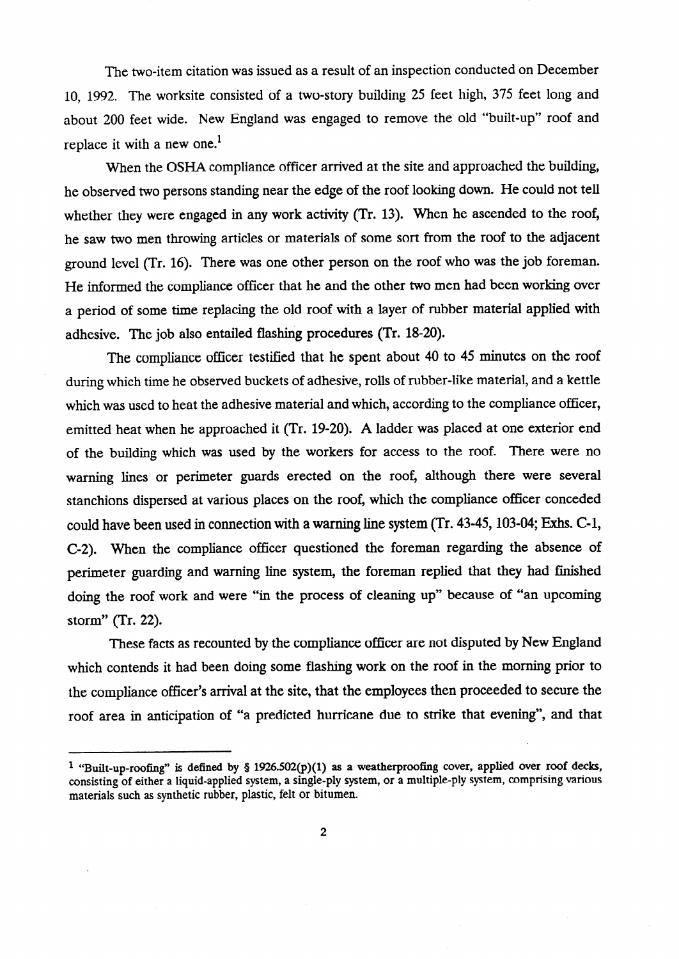The two-item citation was issued as a result of an inspection conducted on December 10, 1992. The worksite consisted of a two-story building 25 feet high, 375 feet long and about 200 feet wide. New England was engaged to remove the old "built-up" roof and replace it with a new one.<sup>1</sup>

When the OSHA compliance officer arrived at the site and approached the building, he observed two persons standing near the edge of the roof looking down. He could not tell whether they were engaged in any work activity (Tr. 13). When he ascended to the roof, he saw two men throwing articles or materials of some sort from the roof to the adjacent ground level (Tr. 16). There was one other person on the roof who was the job foreman. He informed the compliance officer that he and the other two men had been working over a period of some time replacing the old roof with a layer of rubber material applied with adhesive. The job also entailed flashing procedures (Tr. 18-20).

The compliance officer testified that he spent about 40 to 45 minutes on the roof during which time he observed buckets of adhesive, rolls of rubber-like material, and a kettle which was used to heat the adhesive material and which, according to the compliance officer, emitted heat when he approached it (Tr. 19-20). A ladder was placed at one exterior end of the building which was used by the workers for access to the roof. There were no warning lines or perimeter guards erected on the roof, although there were several stanchions dispersed at various places on the roof, which the compliance officer conceded could have been used in connection with a warning line system  $(Tr. 43-45, 103-04;$  Exhs. C-1, C-2). When the compliance officer questioned the foreman regarding the absence of perimeter guarding and warning line system, the foreman replied that they had finished doing the roof work and were "in the process of cleaning up" because of "an upcoming storm" (Tr. 22).

These facts as recounted by the compliance officer are not disputed by New England which contends it had been doing some flashing work on the roof in the morning prior to the compliance officer's arrival at the site, that the employees then proceeded to secure the roof area in anticipation of "a predicted hurricane due to strike that evening", and that

<sup>&</sup>lt;sup>1</sup> "Built-up-roofing" is defined by § 1926.502(p)(1) as a weatherproofing cover, applied over roof decks, consisting of either a liquid-applied system, a single-ply system, or a multiple-ply system, comprising various materials such as synthetic rubber, plastic, felt or bitumen.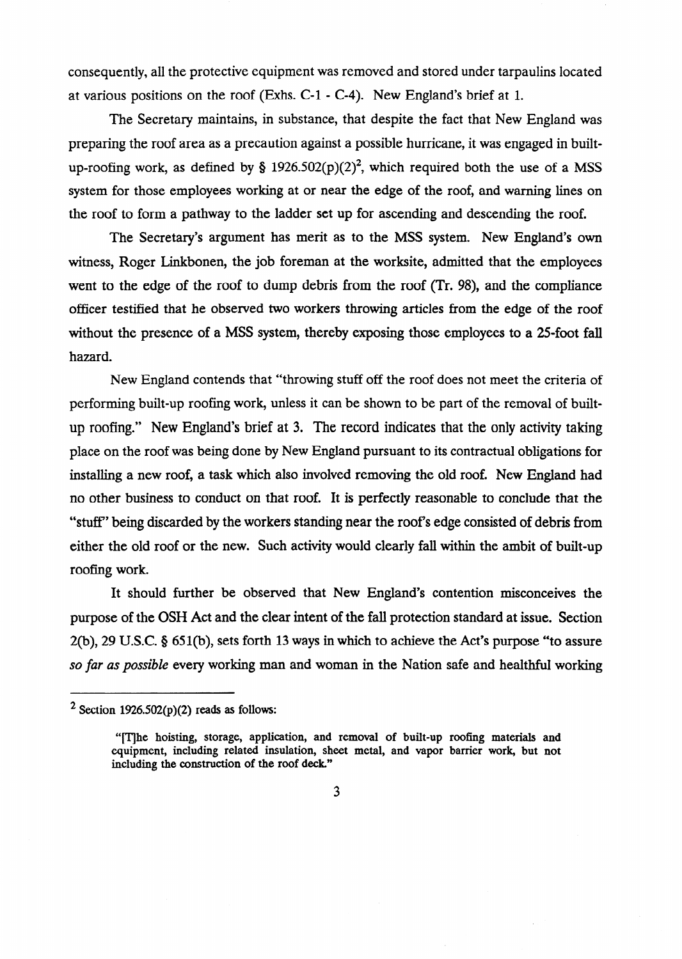consequently, all the protective equipment was removed and stored under tarpaulins located at various positions on the roof (Exhs. **C-l** - *C-4).* New England's brief at 1.

The Secretary maintains, in substance, that despite the fact that New England was preparing the roof area as a precaution against a possible hurricane, it was engaged in builtup-roofing work, as defined by § 1926.502(p)(2)<sup>2</sup>, which required both the use of a MSS system for those employees working at or near the edge of the roof, and warning lines on the roof to form a pathway to the ladder set up for ascending and descending the roof.

The Secretary's argument has merit as to the MSS system. New England's own witness, Roger Linkbonen, the job foreman at the worksite, admitted that the employees went to the edge of the roof to dump debris from the roof (Tr. 98), and the compliance officer testified that he observed two workers throwing articles from the edge of the roof without the presence of a MSS system, thereby exposing those employees to a 25-foot fall hazard.

New England contends that "throwing stuff off the roof does not meet the criteria of performing built-up roofing work, unless it can be shown to be part of the removal of builtup roofing." New England's brief at 3. The record indicates that the only activity taking place on the roof was being done by New England pursuant to its contractual obligations for installing a new roof, a task which also involved removing the old roof. New England had no other business to conduct on that roof. It is perfectly reasonable to conclude that the "stuff" being discarded by the workers standing near the roof's edge consisted of debris from either the old roof or the new. Such activity would clearly fall within the ambit of built-up roofing work.

It should further be observed that New England's contention misconceives the purpose of the OSH Act and the clear intent of the fall protection standard at issue. Section 2(b), 29 U.S.C. 5 651(b), sets forth 13 ways in which to achieve the Act's purpose "to assure *so far as possible* every working man and woman in the Nation safe and healthful working

<sup>&</sup>lt;sup>2</sup> Section 1926.502(p)(2) reads as follows:

<sup>&</sup>quot;[The hoisting, storage, application, and removal of built-up roofing materials and equipment, including related insulation, sheet metal, and vapor barrier work, but not including the construction of the roof deck"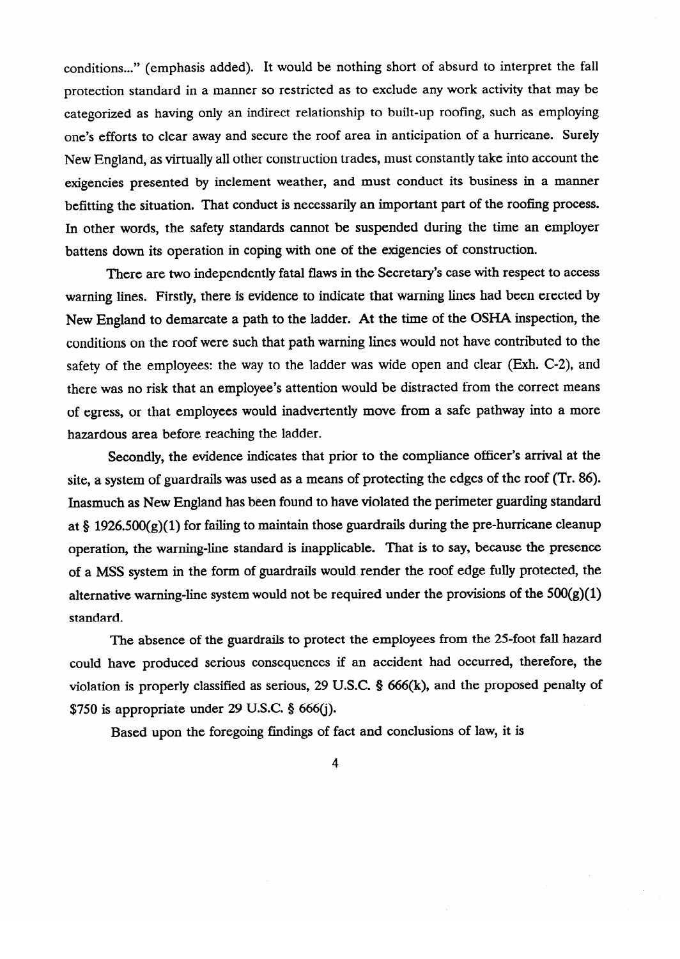conditions..." (emphasis added). It would be nothing short of absurd to interpret the fall protection standard in a manner so restricted as to exclude any work activity that may be categorized as having only an indirect relationship to built-up roofing, such as employing one's efforts to clear away and secure the roof area in anticipation of a hurricane. Surely New England, as virtually all other construction trades, must constantly take into account the exigencies presented by inclement weather, and must conduct its business in a manner befitting the situation. That conduct is necessarily an important part of the roofing process. In other words, the safety standards cannot be suspended during the time an employer battens down its operation in coping with one of the exigencies of construction.

There are two independently fatal flaws in the Secretary's case with respect to access warning lines. Firstly, there is evidence to indicate that warning lines had been erected by New England to demarcate a path to the ladder. At the time of the OSHA inspection, the conditions on the roof were such that path warning lines would not have contributed to the safety of the employees: the way to the ladder was wide open and clear (Exh. C-2), and there was no risk that an employee's attention would be distracted from the correct means of egress, or that employees would inadvertently move from a safe pathway into a more hazardous area before reaching the ladder.

Secondly, the evidence indicates that prior to the compliance officer's arrival at the site, a system of guardrails was used as a means of protecting the edges of the roof (Tr. 86). Inasmuch as New England has been found to have violated the perimeter guarding standard at § 1926.500(g)(1) for failing to maintain those guardrails during the pre-hurricane cleanup operation, the warning-line standard is inapplicable. That is to say, because the presence of a MSS system in the form of guardrails would render the roof edge fully protected, the alternative warning-line system would not be required under the provisions of the  $500(g)(1)$ alternative warning-line system was system would not be required under the provisions of the  $50\%$ 

The absence of the guardrails to protect the employees from the 25-foot fall hazard could have produced serious consequences if an accident had occurred, therefore, the violation is properly classified as serious, 29 U.S.C.  $\S$  666(k), and the proposed penalty of  $$750$  is appropriate under 29 U.S.C.  $§$  666(j).

Based upon the foregoing findings of fact and conclusions of law, it is

 $\mathbf 4$